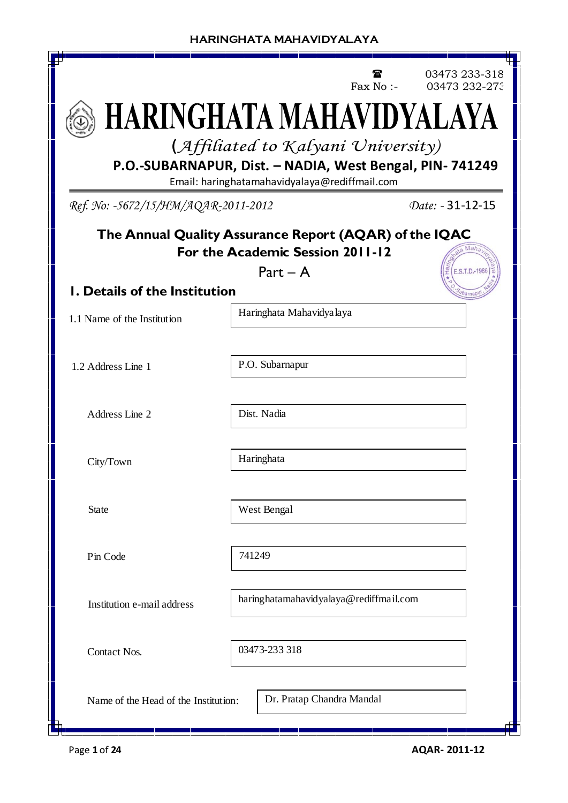|                                                                                            |                                                                                                           | Fax No :- | 03473 233-318<br>03473 232-273 |  |  |
|--------------------------------------------------------------------------------------------|-----------------------------------------------------------------------------------------------------------|-----------|--------------------------------|--|--|
|                                                                                            | HARINGHATA MAHAVIDYALAYA                                                                                  |           |                                |  |  |
|                                                                                            | (Affiliated to Kalyani University)                                                                        |           |                                |  |  |
|                                                                                            | P.O.-SUBARNAPUR, Dist. - NADIA, West Bengal, PIN- 741249<br>Email: haringhatamahavidyalaya@rediffmail.com |           |                                |  |  |
| Ref. No: -5672/15/HM/AQAR-2011-2012                                                        |                                                                                                           |           | Date: - 31-12-15               |  |  |
| The Annual Quality Assurance Report (AQAR) of the IQAC<br>For the Academic Session 2011-12 |                                                                                                           |           |                                |  |  |
| <b>I. Details of the Institution</b>                                                       | $Part - A$                                                                                                |           | E.S.T.D.-1986                  |  |  |
| 1.1 Name of the Institution                                                                | Haringhata Mahavidya laya                                                                                 |           |                                |  |  |
| 1.2 Address Line 1                                                                         | P.O. Subarnapur                                                                                           |           |                                |  |  |
| Address Line 2                                                                             | Dist. Nadia                                                                                               |           |                                |  |  |
| City/Town                                                                                  | Haringhata                                                                                                |           |                                |  |  |
| <b>State</b>                                                                               | West Bengal                                                                                               |           |                                |  |  |
| Pin Code                                                                                   | 741249                                                                                                    |           |                                |  |  |
| Institution e-mail address                                                                 | haringhatamahavidyalaya@rediffmail.com                                                                    |           |                                |  |  |
| <b>Contact Nos.</b>                                                                        | 03473-233 318                                                                                             |           |                                |  |  |
| Name of the Head of the Institution:<br>₩                                                  | Dr. Pratap Chandra Mandal                                                                                 |           |                                |  |  |

 $\overline{\phantom{a}}$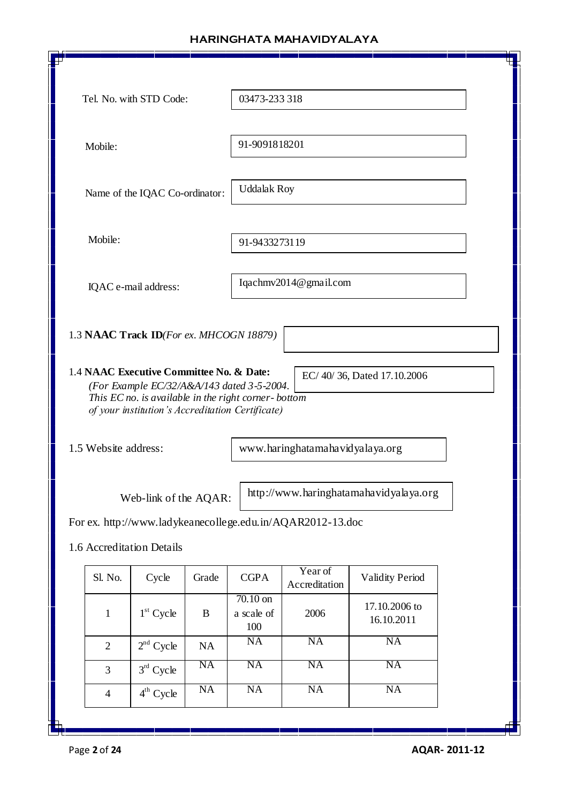| Tel. No. with STD Code:                                                                                 | 03473-233 318            |                          |                            |  |  |
|---------------------------------------------------------------------------------------------------------|--------------------------|--------------------------|----------------------------|--|--|
|                                                                                                         |                          |                          |                            |  |  |
| Mobile:                                                                                                 | 91-9091818201            |                          |                            |  |  |
|                                                                                                         |                          |                          |                            |  |  |
| Name of the IQAC Co-ordinator:                                                                          | <b>Uddalak Roy</b>       |                          |                            |  |  |
|                                                                                                         |                          |                          |                            |  |  |
| Mobile:                                                                                                 | 91-9433273119            |                          |                            |  |  |
| IQAC e-mail address:                                                                                    |                          | Iqachmv2014@gmail.com    |                            |  |  |
|                                                                                                         |                          |                          |                            |  |  |
| 1.3 NAAC Track ID(For ex. MHCOGN 18879)                                                                 |                          |                          |                            |  |  |
|                                                                                                         |                          |                          |                            |  |  |
| 1.4 NAAC Executive Committee No. & Date:<br>(For Example EC/32/A&A/143 dated 3-5-2004.                  |                          |                          | EC/40/36, Dated 17.10.2006 |  |  |
| This EC no. is available in the right corner-bottom<br>of your institution's Accreditation Certificate) |                          |                          |                            |  |  |
|                                                                                                         |                          |                          |                            |  |  |
| 1.5 Website address:<br>www.haringhatamahavidyalaya.org                                                 |                          |                          |                            |  |  |
|                                                                                                         |                          |                          |                            |  |  |
| http://www.haringhatamahavidyalaya.org<br>Web-link of the AQAR:                                         |                          |                          |                            |  |  |
| For ex. http://www.ladykeanecollege.edu.in/AQAR2012-13.doc                                              |                          |                          |                            |  |  |
| 1.6 Accreditation Details                                                                               |                          |                          |                            |  |  |
| Sl. No.<br>Cycle<br>Grade                                                                               | <b>CGPA</b>              | Year of<br>Accreditation | <b>Validity Period</b>     |  |  |
| $1st$ Cycle<br>$\mathbf{1}$<br>$\bf{B}$                                                                 | $70.10$ on<br>a scale of | 2006                     | 17.10.2006 to              |  |  |
|                                                                                                         | 100<br>NA                | <b>NA</b>                | 16.10.2011<br>NA           |  |  |
| $2nd$ Cycle<br>$\overline{2}$<br>NA<br>NA                                                               | <b>NA</b>                | <b>NA</b>                | <b>NA</b>                  |  |  |
| $3rd$ Cycle<br>3<br><b>NA</b>                                                                           | NA                       | <b>NA</b>                | <b>NA</b>                  |  |  |
| $4th$ Cycle<br>$\overline{4}$                                                                           |                          |                          |                            |  |  |
| щ                                                                                                       |                          |                          |                            |  |  |

 $\sqrt{ }$ 

Page **2** of **24 AQAR- 2011-12**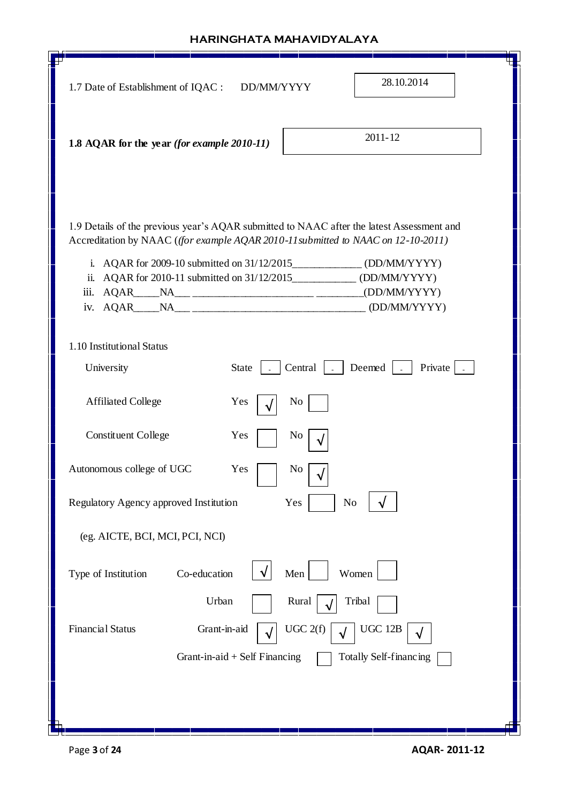| 28.10.2014<br>1.7 Date of Establishment of IQAC :<br>DD/MM/YYYY                                                                                                                                                                                                                                                                                         |
|---------------------------------------------------------------------------------------------------------------------------------------------------------------------------------------------------------------------------------------------------------------------------------------------------------------------------------------------------------|
| $2011 - 12$<br>1.8 AQAR for the year (for example 2010-11)                                                                                                                                                                                                                                                                                              |
| 1.9 Details of the previous year's AQAR submitted to NAAC after the latest Assessment and<br>Accreditation by NAAC ((for example AQAR 2010-11 submitted to NAAC on 12-10-2011)<br>i. AQAR for 2009-10 submitted on 31/12/2015_______________ (DD/MM/YYYY)<br>ii. AQAR for 2010-11 submitted on 31/12/2015_____________ (DD/MM/YYYY)<br>iii. AQAR____NA_ |
| 1.10 Institutional Status                                                                                                                                                                                                                                                                                                                               |
| $Central$ $\vert$ $\vert$ $\vert$ $Deemed$ $\vert$ $\vert$<br>Private $\vert$ .<br>University<br>State $\vert$ -                                                                                                                                                                                                                                        |
| <b>Affiliated College</b><br>N <sub>0</sub><br>Yes                                                                                                                                                                                                                                                                                                      |
| <b>Constituent College</b><br>Yes<br>No                                                                                                                                                                                                                                                                                                                 |
| Autonomous college of UGC<br>Yes<br>No                                                                                                                                                                                                                                                                                                                  |
| Regulatory Agency approved Institution<br>Yes<br>No                                                                                                                                                                                                                                                                                                     |
| (eg. AICTE, BCI, MCI, PCI, NCI)                                                                                                                                                                                                                                                                                                                         |
| Men<br>Type of Institution<br>Co-education<br>Women                                                                                                                                                                                                                                                                                                     |
| Urban<br>Rural<br>Tribal<br><b>Financial Status</b><br>Grant-in-aid<br>UGC 2(f)<br><b>UGC 12B</b><br>Totally Self-financing<br>Grant-in-aid $+$ Self Financing                                                                                                                                                                                          |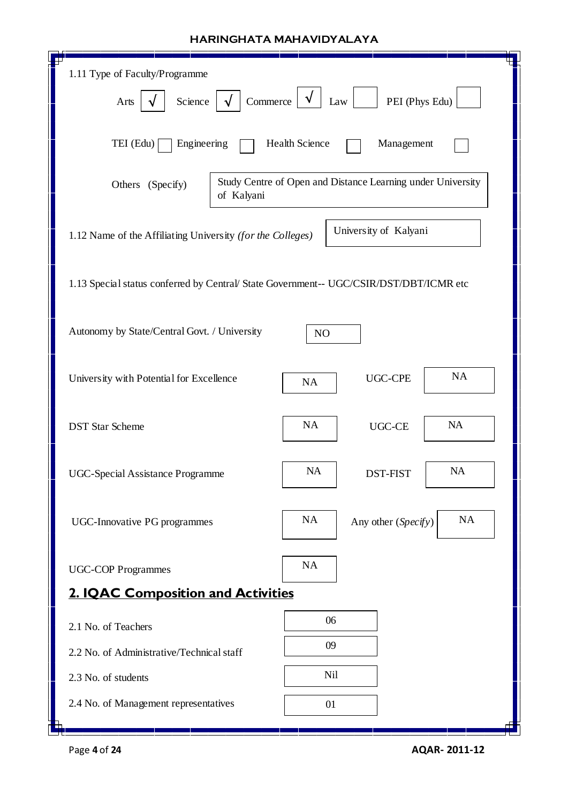| 1.11 Type of Faculty/Programme                                                                |                                        |  |  |  |  |
|-----------------------------------------------------------------------------------------------|----------------------------------------|--|--|--|--|
| Commerce<br>PEI (Phys Edu)<br>Science<br>Law<br>Arts                                          |                                        |  |  |  |  |
| Engineering<br>TEI (Edu)                                                                      | Health Science<br>Management           |  |  |  |  |
| Study Centre of Open and Distance Learning under University<br>Others (Specify)<br>of Kalyani |                                        |  |  |  |  |
| University of Kalyani<br>1.12 Name of the Affiliating University (for the Colleges)           |                                        |  |  |  |  |
| 1.13 Special status conferred by Central/ State Government-- UGC/CSIR/DST/DBT/ICMR etc        |                                        |  |  |  |  |
| Autonomy by State/Central Govt. / University<br>N <sub>O</sub>                                |                                        |  |  |  |  |
| University with Potential for Excellence                                                      | <b>NA</b><br><b>UGC-CPE</b><br>NA      |  |  |  |  |
| <b>DST</b> Star Scheme                                                                        | NA<br>NA<br>UGC-CE                     |  |  |  |  |
| UGC-Special Assistance Programme                                                              | <b>NA</b><br><b>NA</b><br>DST-FIST     |  |  |  |  |
| <b>UGC-Innovative PG programmes</b>                                                           | NA<br><b>NA</b><br>Any other (Specify) |  |  |  |  |
| <b>UGC-COP Programmes</b>                                                                     | NA                                     |  |  |  |  |
| <b>2. IQAC Composition and Activities</b>                                                     |                                        |  |  |  |  |
| 2.1 No. of Teachers                                                                           | 06                                     |  |  |  |  |
| 2.2 No. of Administrative/Technical staff                                                     | 09                                     |  |  |  |  |
| 2.3 No. of students                                                                           | Nil                                    |  |  |  |  |
| 2.4 No. of Management representatives                                                         | 01                                     |  |  |  |  |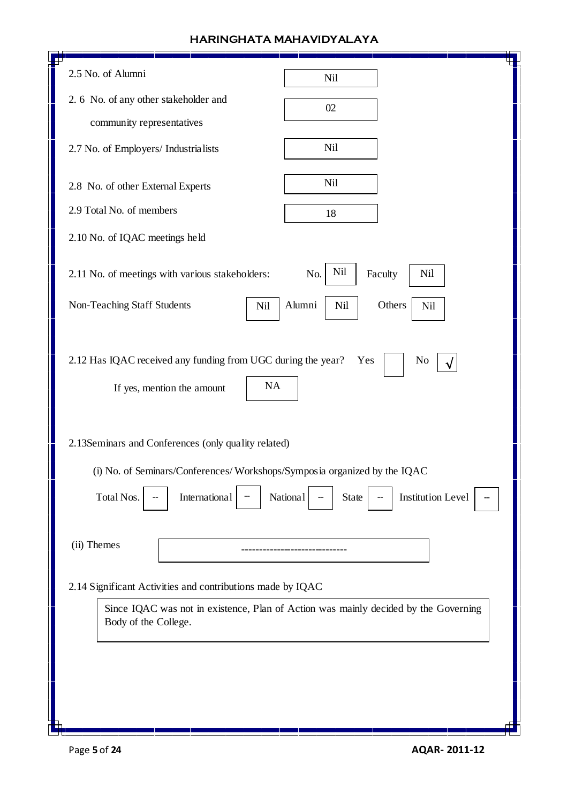| 2.5 No. of Alumni                                                                                                         | Nil                                                                                 |  |  |  |
|---------------------------------------------------------------------------------------------------------------------------|-------------------------------------------------------------------------------------|--|--|--|
| 2. 6 No. of any other stakeholder and                                                                                     | 02                                                                                  |  |  |  |
| community representatives                                                                                                 |                                                                                     |  |  |  |
| 2.7 No. of Employers/ Industrialists                                                                                      | Nil                                                                                 |  |  |  |
| 2.8 No. of other External Experts                                                                                         | Nil                                                                                 |  |  |  |
| 2.9 Total No. of members                                                                                                  | 18                                                                                  |  |  |  |
| 2.10 No. of IQAC meetings held                                                                                            |                                                                                     |  |  |  |
| 2.11 No. of meetings with various stakeholders:                                                                           | Nil<br>Faculty<br>Nil<br>No.                                                        |  |  |  |
| Non-Teaching Staff Students<br>Nil                                                                                        | Alumni<br>Nil<br>Others<br>Nil                                                      |  |  |  |
| 2.12 Has IQAC received any funding from UGC during the year?<br>Yes<br>N <sub>0</sub><br>NA<br>If yes, mention the amount |                                                                                     |  |  |  |
| 2.13Seminars and Conferences (only quality related)                                                                       |                                                                                     |  |  |  |
| (i) No. of Seminars/Conferences/Workshops/Symposia organized by the IQAC                                                  |                                                                                     |  |  |  |
| Total Nos.<br>International                                                                                               | <b>Institution Level</b><br>National<br><b>State</b>                                |  |  |  |
|                                                                                                                           |                                                                                     |  |  |  |
| (ii) Themes                                                                                                               |                                                                                     |  |  |  |
| 2.14 Significant Activities and contributions made by IQAC                                                                |                                                                                     |  |  |  |
| Body of the College.                                                                                                      | Since IQAC was not in existence, Plan of Action was mainly decided by the Governing |  |  |  |
|                                                                                                                           |                                                                                     |  |  |  |
|                                                                                                                           |                                                                                     |  |  |  |
|                                                                                                                           |                                                                                     |  |  |  |
|                                                                                                                           |                                                                                     |  |  |  |

 $\sqrt{ }$ 

Л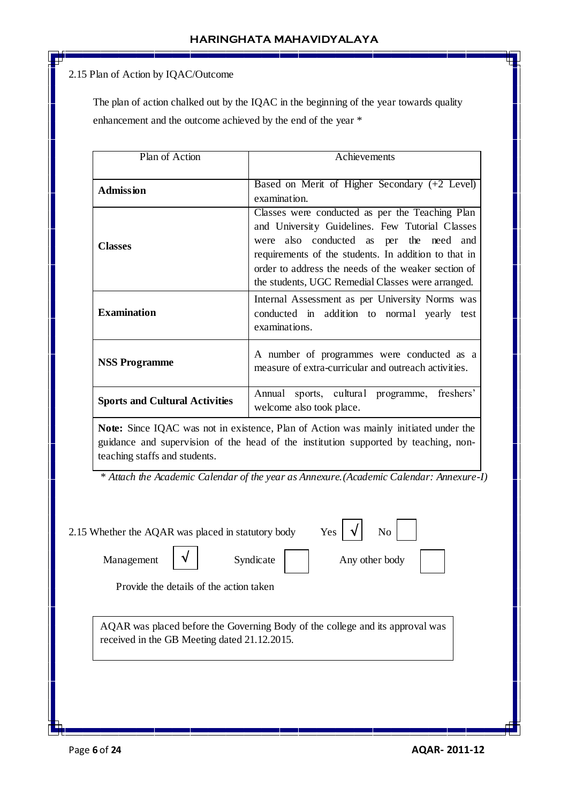<u> Tanzania (Carlo Tanzania) estatubatua (Carlo Tanzania) estatubatua (Carlo Tanzania) estatubatua (Carlo Tanzania) estatubatua (Carlo Tanzania) estatubatua (Carlo Tanzania) estatubatua (Carlo Tanzania) estatubatua (Carlo T</u>

## 2.15 Plan of Action by IQAC/Outcome

 The plan of action chalked out by the IQAC in the beginning of the year towards quality enhancement and the outcome achieved by the end of the year \*

| Plan of Action                        | Achievements                                                                                                                                                                                                                                                                                                      |  |  |
|---------------------------------------|-------------------------------------------------------------------------------------------------------------------------------------------------------------------------------------------------------------------------------------------------------------------------------------------------------------------|--|--|
| <b>Admission</b>                      | Based on Merit of Higher Secondary $(+2$ Level)<br>examination.                                                                                                                                                                                                                                                   |  |  |
| <b>Classes</b>                        | Classes were conducted as per the Teaching Plan<br>and University Guidelines. Few Tutorial Classes<br>were also conducted as per the need and<br>requirements of the students. In addition to that in<br>order to address the needs of the weaker section of<br>the students, UGC Remedial Classes were arranged. |  |  |
| <b>Examination</b>                    | Internal Assessment as per University Norms was<br>conducted in addition to normal yearly test<br>examinations.                                                                                                                                                                                                   |  |  |
| <b>NSS Programme</b>                  | A number of programmes were conducted as a<br>measure of extra-curricular and outreach activities.                                                                                                                                                                                                                |  |  |
| <b>Sports and Cultural Activities</b> | Annual sports, cultural programme, freshers'<br>welcome also took place.                                                                                                                                                                                                                                          |  |  |

**Note:** Since IQAC was not in existence, Plan of Action was mainly initiated under the guidance and supervision of the head of the institution supported by teaching, nonteaching staffs and students.

 *\* Attach the Academic Calendar of the year as Annexure.(Academic Calendar: Annexure-I)*

| 2.15 Whether the AQAR was placed in statutory body |                                                                               | Yes<br>N <sub>o</sub> |  |
|----------------------------------------------------|-------------------------------------------------------------------------------|-----------------------|--|
| Management                                         | Syndicate                                                                     | Any other body        |  |
| Provide the details of the action taken            |                                                                               |                       |  |
| received in the GB Meeting dated 21.12.2015.       | AQAR was placed before the Governing Body of the college and its approval was |                       |  |
|                                                    |                                                                               |                       |  |
|                                                    |                                                                               |                       |  |
|                                                    |                                                                               |                       |  |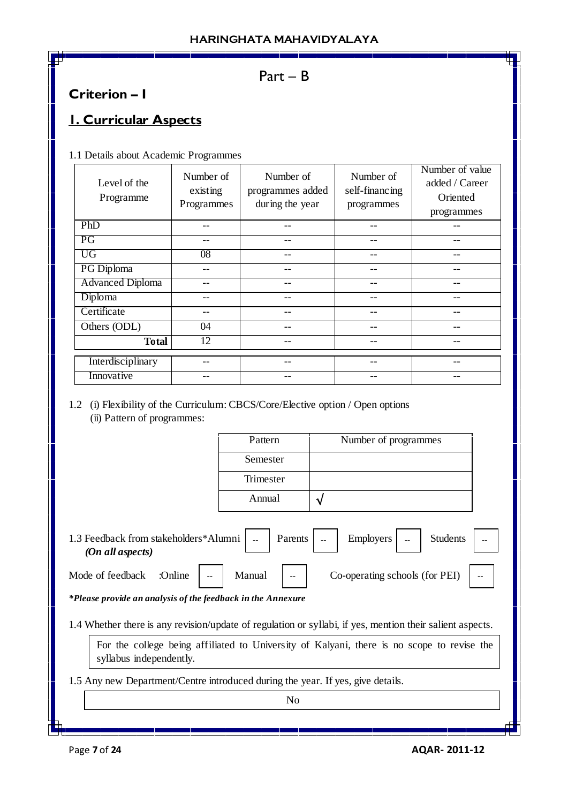# Part – B

# **Criterion – I**

# **1. Curricular Aspects**

1.1 Details about Academic Programmes

| Level of the<br>Programme | Number of<br>existing<br>Programmes | Number of<br>programmes added<br>during the year | Number of<br>self-financing<br>programmes | Number of value<br>added / Career<br>Oriented<br>programmes |
|---------------------------|-------------------------------------|--------------------------------------------------|-------------------------------------------|-------------------------------------------------------------|
| PhD                       |                                     |                                                  |                                           |                                                             |
| PG                        |                                     |                                                  |                                           |                                                             |
| <b>UG</b>                 | $\overline{08}$                     |                                                  | --                                        |                                                             |
| PG Diploma                |                                     |                                                  | --                                        |                                                             |
| <b>Advanced Diploma</b>   |                                     | --                                               | --                                        |                                                             |
| Diploma                   |                                     | --                                               |                                           |                                                             |
| Certificate               |                                     |                                                  | --                                        |                                                             |
| Others (ODL)              | 04                                  |                                                  |                                           |                                                             |
| <b>Total</b>              | 12                                  |                                                  |                                           |                                                             |
| Interdisciplinary         |                                     |                                                  |                                           |                                                             |
| Innovative                |                                     |                                                  |                                           |                                                             |

1.2 (i) Flexibility of the Curriculum: CBCS/Core/Elective option / Open options (ii) Pattern of programmes:

| Pattern   | Number of programmes |
|-----------|----------------------|
| Semester  |                      |
| Trimester |                      |
| Annual    |                      |

1.3 Feedback from stakeholders \*Alumni  $\vert$   $\vert$   $\vert$  Parents  $\vert$   $\vert$   $\vert$  Employers  $\vert$   $\vert$   $\vert$  Students  *(On all aspects)* Employers

Mode of feedback  $\therefore$  Online  $\vert -\vert$  Manual  $\vert -\vert$  Co-operating schools (for PEI)  $\vert -\vert$ 

*\*Please provide an analysis of the feedback in the Annexure*

1.4 Whether there is any revision/update of regulation or syllabi, if yes, mention their salient aspects.

For the college being affiliated to University of Kalyani, there is no scope to revise the syllabus independently.

1.5 Any new Department/Centre introduced during the year. If yes, give details.

No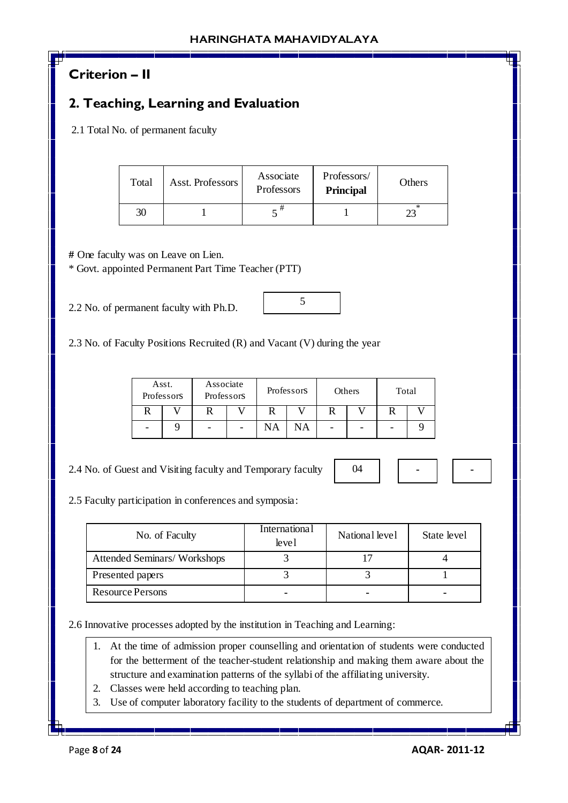# **Criterion – II**

# **2. Teaching, Learning and Evaluation**

2.1 Total No. of permanent faculty

| Total | Asst. Professors | Associate<br>Professors | Professors/<br><b>Principal</b> | Others |
|-------|------------------|-------------------------|---------------------------------|--------|
| 30    |                  |                         |                                 |        |

**#** One faculty was on Leave on Lien.

\* Govt. appointed Permanent Part Time Teacher (PTT)

2.2 No. of permanent faculty with Ph.D.

2.3 No. of Faculty Positions Recruited (R) and Vacant (V) during the year

| Asst.<br>Professors | Associate<br>Professors | Professors |    | Others |  | Total |  |
|---------------------|-------------------------|------------|----|--------|--|-------|--|
|                     |                         |            |    |        |  |       |  |
|                     |                         | NA         | NА | -      |  |       |  |

2.4 No. of Guest and Visiting faculty and Temporary faculty

2.5 Faculty participation in conferences and symposia:

| No. of Faculty                     | <b>International</b><br>level | National level | State level |
|------------------------------------|-------------------------------|----------------|-------------|
| <b>Attended Seminars/Workshops</b> |                               |                |             |
| Presented papers                   |                               |                |             |
| <b>Resource Persons</b>            |                               |                |             |

2.6 Innovative processes adopted by the institution in Teaching and Learning:

- 1. At the time of admission proper counselling and orientation of students were conducted for the betterment of the teacher-student relationship and making them aware about the structure and examination patterns of the syllabi of the affiliating university.
- 2. Classes were held according to teaching plan.
- 3. Use of computer laboratory facility to the students of department of commerce.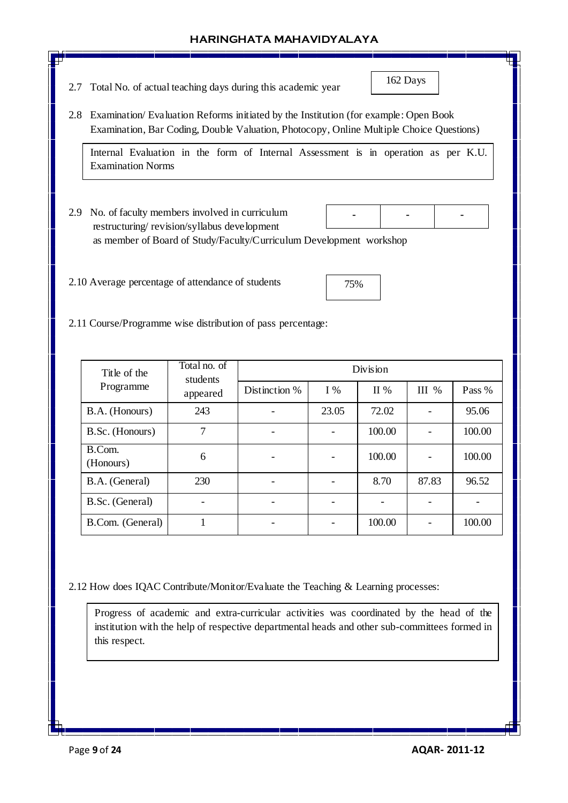2.7 Total No. of actual teaching days during this academic year

162 Days

**-**

2.8 Examination/ Evaluation Reforms initiated by the Institution (for example: Open Book Examination, Bar Coding, Double Valuation, Photocopy, Online Multiple Choice Questions)

Internal Evaluation in the form of Internal Assessment is in operation as per K.U. Examination Norms

2.9 No. of faculty members involved in curriculum restructuring/ revision/syllabus development as member of Board of Study/Faculty/Curriculum Development workshop **- -**

2.10 Average percentage of attendance of students

2.11 Course/Programme wise distribution of pass percentage:

| Title of the          | Total no. of<br>students | Division      |                          |        |         |        |  |  |
|-----------------------|--------------------------|---------------|--------------------------|--------|---------|--------|--|--|
| Programme             | appeared                 | Distinction % | $I\%$                    | II%    | III $%$ | Pass % |  |  |
| B.A. (Honours)<br>243 |                          |               | 23.05                    | 72.02  |         | 95.06  |  |  |
| B.Sc. (Honours)       | 7                        |               | $\overline{\phantom{a}}$ | 100.00 |         | 100.00 |  |  |
| B.Com.<br>(Honours)   | 6                        |               | $\qquad \qquad$          | 100.00 |         | 100.00 |  |  |
| B.A. (General)        | 230                      |               |                          | 8.70   | 87.83   | 96.52  |  |  |
| B.Sc. (General)       |                          |               |                          |        |         |        |  |  |
| B.Com. (General)      |                          |               |                          | 100.00 |         | 100.00 |  |  |

2.12 How does IQAC Contribute/Monitor/Evaluate the Teaching & Learning processes:

Progress of academic and extra-curricular activities was coordinated by the head of the institution with the help of respective departmental heads and other sub-committees formed in this respect.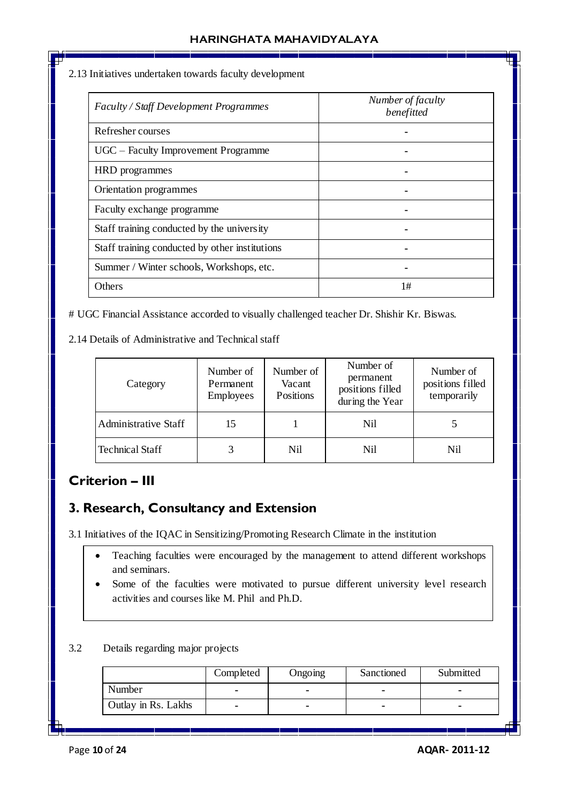2.13 Initiatives undertaken towards faculty development

| Faculty / Staff Development Programmes         | Number of faculty<br>benefitted |
|------------------------------------------------|---------------------------------|
| Refresher courses                              |                                 |
| UGC – Faculty Improvement Programme            |                                 |
| HRD programmes                                 |                                 |
| Orientation programmes                         |                                 |
| Faculty exchange programme                     |                                 |
| Staff training conducted by the university     |                                 |
| Staff training conducted by other institutions |                                 |
| Summer / Winter schools, Workshops, etc.       |                                 |
| Others                                         | 1#                              |

# UGC Financial Assistance accorded to visually challenged teacher Dr. Shishir Kr. Biswas.

2.14 Details of Administrative and Technical staff

| Category               | Number of<br>Permanent<br>Employees | Number of<br>Vacant<br>Positions | Number of<br>permanent<br>positions filled<br>during the Year | Number of<br>positions filled<br>temporarily |  |
|------------------------|-------------------------------------|----------------------------------|---------------------------------------------------------------|----------------------------------------------|--|
| Administrative Staff   | 15                                  |                                  | Nil                                                           |                                              |  |
| <b>Technical Staff</b> |                                     | Nil                              | Nil                                                           | Nil                                          |  |

# **Criterion – III**

# **3. Research, Consultancy and Extension**

3.1 Initiatives of the IQAC in Sensitizing/Promoting Research Climate in the institution

- Teaching faculties were encouraged by the management to attend different workshops and seminars.
- Some of the faculties were motivated to pursue different university level research activities and courses like M. Phil and Ph.D.

3.2 Details regarding major projects

|                     | Completed | Ongoing | Sanctioned | Submitted |
|---------------------|-----------|---------|------------|-----------|
| Number              | -         |         |            |           |
| Outlay in Rs. Lakhs | -         |         |            |           |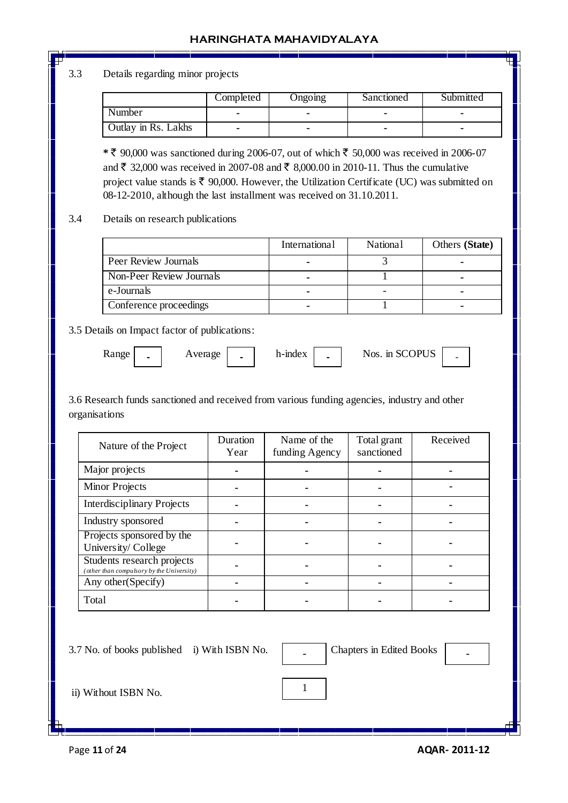## 3.3 Details regarding minor projects

|                     | Completed | Ongoing | Sanctioned | Submitted |
|---------------------|-----------|---------|------------|-----------|
| Number              |           |         |            |           |
| Outlay in Rs. Lakhs |           |         | -          |           |

 $*$  ₹ 90,000 was sanctioned during 2006-07, out of which ₹ 50,000 was received in 2006-07 and ₹ 32,000 was received in 2007-08 and ₹ 8,000.00 in 2010-11. Thus the cumulative project value stands is  $\bar{\tau}$  90,000. However, the Utilization Certificate (UC) was submitted on 08-12-2010, although the last installment was received on 31.10.2011.

## 3.4 Details on research publications

|                          | International | <b>National</b> | Others (State) |
|--------------------------|---------------|-----------------|----------------|
| Peer Review Journals     | -             |                 |                |
| Non-Peer Review Journals |               |                 |                |
| e-Journals               |               |                 |                |
| Conference proceedings   |               |                 |                |

3.5 Details on Impact factor of publications:

**-**

| Range | Average |  | h-mdex | $\overline{\phantom{0}}$ | Nos. in SCOPUS |  |
|-------|---------|--|--------|--------------------------|----------------|--|
|-------|---------|--|--------|--------------------------|----------------|--|

3.6 Research funds sanctioned and received from various funding agencies, industry and other organisations

| Nature of the Project                                                   | Duration<br>Year | Name of the<br>funding Agency | Total grant<br>sanctioned | Received |
|-------------------------------------------------------------------------|------------------|-------------------------------|---------------------------|----------|
| Major projects                                                          |                  |                               |                           |          |
| <b>Minor Projects</b>                                                   |                  |                               |                           |          |
| <b>Interdisciplinary Projects</b>                                       |                  |                               |                           |          |
| Industry sponsored                                                      |                  |                               |                           |          |
| Projects sponsored by the<br>University/College                         |                  |                               |                           |          |
| Students research projects<br>(other than compulsory by the University) |                  |                               |                           |          |
| Any other (Specify)                                                     |                  |                               |                           |          |
| Total                                                                   |                  |                               |                           |          |

1

3.7 No. of books published i) With ISBN No.  $\vert$ 

**Chapters in Edited Books** 

ii) Without ISBN No.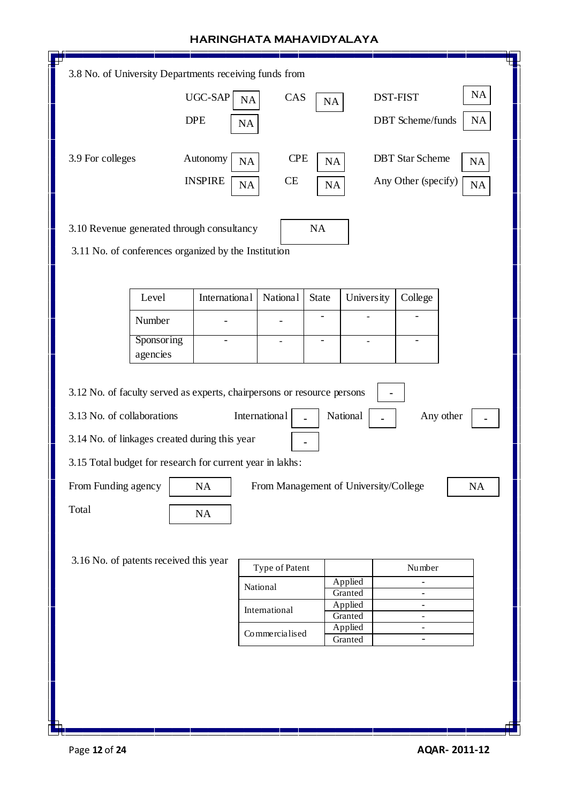| 3.8 No. of University Departments receiving funds from                  |                |                 |                          |                                       |                          |           |  |
|-------------------------------------------------------------------------|----------------|-----------------|--------------------------|---------------------------------------|--------------------------|-----------|--|
|                                                                         | <b>UGC-SAP</b> | CAS<br>NA       | NA                       |                                       | <b>DST-FIST</b>          | <b>NA</b> |  |
|                                                                         | <b>DPE</b>     | NA              |                          |                                       | <b>DBT</b> Scheme/funds  | <b>NA</b> |  |
|                                                                         |                |                 |                          |                                       |                          |           |  |
| 3.9 For colleges                                                        | Autonomy       | <b>CPE</b>      |                          |                                       | <b>DBT</b> Star Scheme   |           |  |
|                                                                         |                | <b>NA</b>       | NA                       |                                       |                          | <b>NA</b> |  |
|                                                                         | <b>INSPIRE</b> | CE<br>NA        | $\rm NA$                 |                                       | Any Other (specify)      | <b>NA</b> |  |
|                                                                         |                |                 |                          |                                       |                          |           |  |
| 3.10 Revenue generated through consultancy                              |                |                 | NA                       |                                       |                          |           |  |
| 3.11 No. of conferences organized by the Institution                    |                |                 |                          |                                       |                          |           |  |
|                                                                         |                |                 |                          |                                       |                          |           |  |
|                                                                         |                |                 |                          |                                       |                          |           |  |
| Level                                                                   | International  | <b>National</b> | State                    | <b>University</b>                     | College                  |           |  |
| Number                                                                  |                |                 | $\overline{\phantom{0}}$ |                                       |                          |           |  |
| Sponsoring                                                              |                | $\overline{a}$  | $\overline{\phantom{0}}$ | $\overline{\phantom{a}}$              | $\overline{\phantom{a}}$ |           |  |
| agencies                                                                |                |                 |                          |                                       |                          |           |  |
|                                                                         |                |                 |                          |                                       |                          |           |  |
| 3.12 No. of faculty served as experts, chairpersons or resource persons |                |                 |                          |                                       |                          |           |  |
| 3.13 No. of collaborations                                              |                | International   |                          | National                              |                          | Any other |  |
| 3.14 No. of linkages created during this year                           |                |                 |                          |                                       |                          |           |  |
|                                                                         |                |                 |                          |                                       |                          |           |  |
| 3.15 Total budget for research for current year in lakhs:               |                |                 |                          |                                       |                          |           |  |
| ┍<br>From Funding agency                                                | NA             |                 |                          | From Management of University/College |                          | NA        |  |
| Total                                                                   | NA             |                 |                          |                                       |                          |           |  |
|                                                                         |                |                 |                          |                                       |                          |           |  |
|                                                                         |                |                 |                          |                                       |                          |           |  |
| 3.16 No. of patents received this year                                  |                | Type of Patent  |                          |                                       | Number                   |           |  |
|                                                                         |                | National        |                          | Applied                               |                          |           |  |
|                                                                         |                |                 |                          | Granted<br>Applied                    | -                        |           |  |
| International<br>Granted<br>÷,                                          |                |                 |                          |                                       |                          |           |  |
| Applied<br>$\frac{1}{2}$<br>Commercialised<br>Granted<br>$\blacksquare$ |                |                 |                          |                                       |                          |           |  |
|                                                                         |                |                 |                          |                                       |                          |           |  |
|                                                                         |                |                 |                          |                                       |                          |           |  |
|                                                                         |                |                 |                          |                                       |                          |           |  |
|                                                                         |                |                 |                          |                                       |                          |           |  |
|                                                                         |                |                 |                          |                                       |                          |           |  |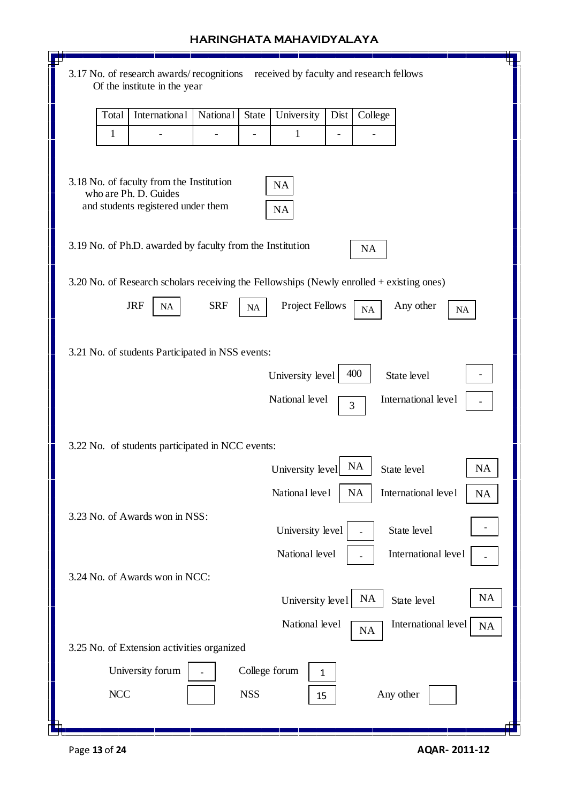| HARINGHATA MAHAVIDYALAYA                                                                                   |
|------------------------------------------------------------------------------------------------------------|
| 3.17 No. of research awards/recognitions<br>received by faculty and research fellows                       |
| Of the institute in the year                                                                               |
| International<br><b>National</b><br>Total<br>State<br>Dist<br>College<br>University                        |
| $\mathbf{1}$<br>$\mathbf{1}$                                                                               |
|                                                                                                            |
| 3.18 No. of faculty from the Institution<br><b>NA</b><br>who are Ph. D. Guides                             |
| and students registered under them<br><b>NA</b>                                                            |
|                                                                                                            |
| 3.19 No. of Ph.D. awarded by faculty from the Institution<br><b>NA</b>                                     |
| 3.20 No. of Research scholars receiving the Fellowships (Newly enrolled + existing ones)                   |
| <b>JRF</b><br><b>SRF</b><br><b>Project Fellows</b><br>Any other<br>NA<br><b>NA</b><br>$\rm NA$<br>$\rm NA$ |
|                                                                                                            |
| 3.21 No. of students Participated in NSS events:                                                           |
| 400<br>University level<br>State level                                                                     |
| National level<br>International level<br>3                                                                 |
|                                                                                                            |
| 3.22 No. of students participated in NCC events:                                                           |
| <b>NA</b><br>NA<br>University level<br>State level                                                         |
| National level<br>NA<br>International level<br>NA                                                          |
| 3.23 No. of Awards won in NSS:<br>University level<br>State level                                          |
| National level<br>International level                                                                      |
| 3.24 No. of Awards won in NCC:                                                                             |
| <b>NA</b><br><b>NA</b><br>University level<br>State level                                                  |
| International level<br>National level<br><b>NA</b><br><b>NA</b>                                            |
| 3.25 No. of Extension activities organized                                                                 |
| University forum<br>College forum<br>1                                                                     |
| <b>NCC</b><br><b>NSS</b><br>Any other<br>15                                                                |
|                                                                                                            |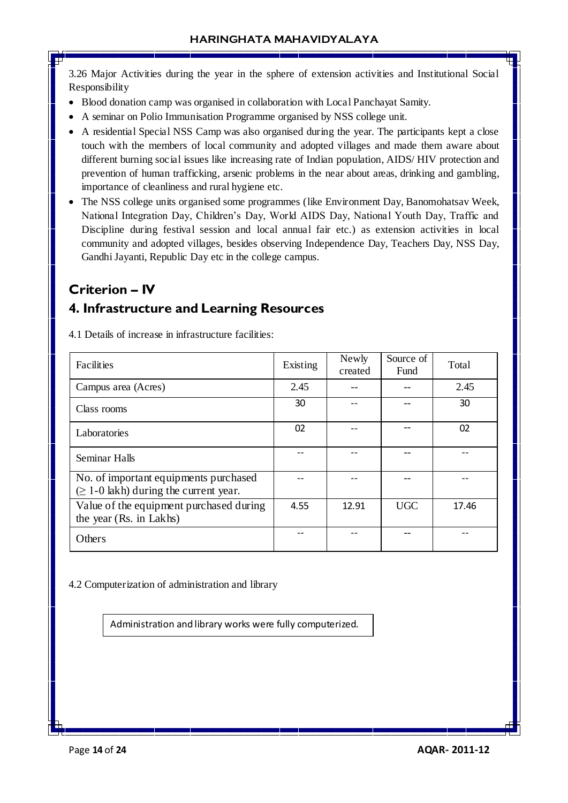3.26 Major Activities during the year in the sphere of extension activities and Institutional Social Responsibility

- Blood donation camp was organised in collaboration with Local Panchayat Samity.
- A seminar on Polio Immunisation Programme organised by NSS college unit.
- A residential Special NSS Camp was also organised during the year. The participants kept a close touch with the members of local community and adopted villages and made them aware about different burning social issues like increasing rate of Indian population, AIDS/ HIV protection and prevention of human trafficking, arsenic problems in the near about areas, drinking and gambling, importance of cleanliness and rural hygiene etc.
- The NSS college units organised some programmes (like Environment Day, Banomohatsav Week, National Integration Day, Children's Day, World AIDS Day, National Youth Day, Traffic and Discipline during festival session and local annual fair etc.) as extension activities in local community and adopted villages, besides observing Independence Day, Teachers Day, NSS Day, Gandhi Jayanti, Republic Day etc in the college campus.

# **Criterion – IV**

## **4. Infrastructure and Learning Resources**

4.1 Details of increase in infrastructure facilities:

| Facilities                                                                           | Existing | Newly<br>created | Source of<br><b>Fund</b> | Total |
|--------------------------------------------------------------------------------------|----------|------------------|--------------------------|-------|
| Campus area (Acres)                                                                  | 2.45     |                  |                          | 2.45  |
| Class rooms                                                                          | 30       |                  |                          | 30    |
| Laboratories                                                                         | 02       |                  |                          | 02    |
| Seminar Halls                                                                        |          |                  |                          |       |
| No. of important equipments purchased<br>$(\geq 1$ -0 lakh) during the current year. |          |                  |                          |       |
| Value of the equipment purchased during<br>the year (Rs. in Lakhs)                   | 4.55     | 12.91            | <b>UGC</b>               | 17.46 |
| Others                                                                               |          |                  |                          |       |

4.2 Computerization of administration and library

Administration and library works were fully computerized.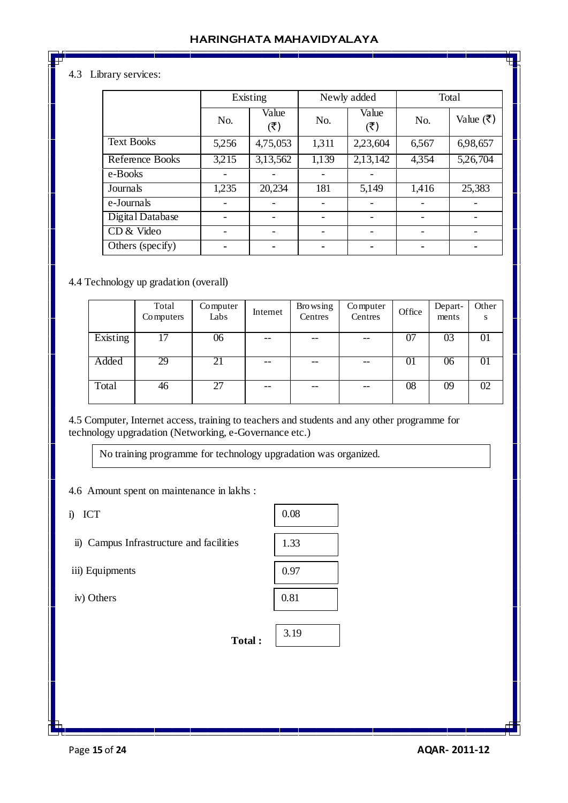## 4.3 Library services:

|                   | Existing |                              | Newly added |                                      | Total |           |
|-------------------|----------|------------------------------|-------------|--------------------------------------|-------|-----------|
|                   | No.      | Value<br>$({}^{\mathbf{F}})$ | No.         | Value<br>$(\overline{\mathfrak{F}})$ | No.   | Value (₹) |
| <b>Text Books</b> | 5,256    | 4,75,053                     | 1,311       | 2,23,604                             | 6,567 | 6,98,657  |
| Reference Books   | 3,215    | 3,13,562                     | 1,139       | 2,13,142                             | 4,354 | 5,26,704  |
| e-Books           |          |                              |             |                                      |       |           |
| Journals          | 1,235    | 20,234                       | 181         | 5,149                                | 1,416 | 25,383    |
| e-Journals        |          |                              |             |                                      |       |           |
| Digital Database  |          |                              |             |                                      |       |           |
| CD & Video        |          |                              |             |                                      |       |           |
| Others (specify)  |          |                              |             |                                      |       |           |

#### 4.4 Technology up gradation (overall)

|          | Total<br>Computers | Computer<br>Labs | Internet | <b>Browsing</b><br>Centres | Computer<br>Centres | Office | Depart-<br>ments | Other<br>S |
|----------|--------------------|------------------|----------|----------------------------|---------------------|--------|------------------|------------|
| Existing | 17                 | 06               | --       |                            | --                  | 07     | 03               | 01         |
| Added    | 29                 | 21               | --       |                            | $- -$               | 01     | 06               | 01         |
| Total    | 46                 | 27               | $- -$    | $- -$                      | $- -$               | 08     | 09               | 02         |

4.5 Computer, Internet access, training to teachers and students and any other programme for technology upgradation (Networking, e-Governance etc.)

No training programme for technology upgradation was organized.

4.6 Amount spent on maintenance in lakhs :

i) ICT

ii) Campus Infrastructure and facilities

iii) Equipments

iv) Others

| 0.08 |
|------|
|      |
| 1.33 |
|      |
| 0.97 |
|      |
| 0.81 |
|      |

**Total :** 

| 3.1<br>u.<br>ッ |  |
|----------------|--|
|                |  |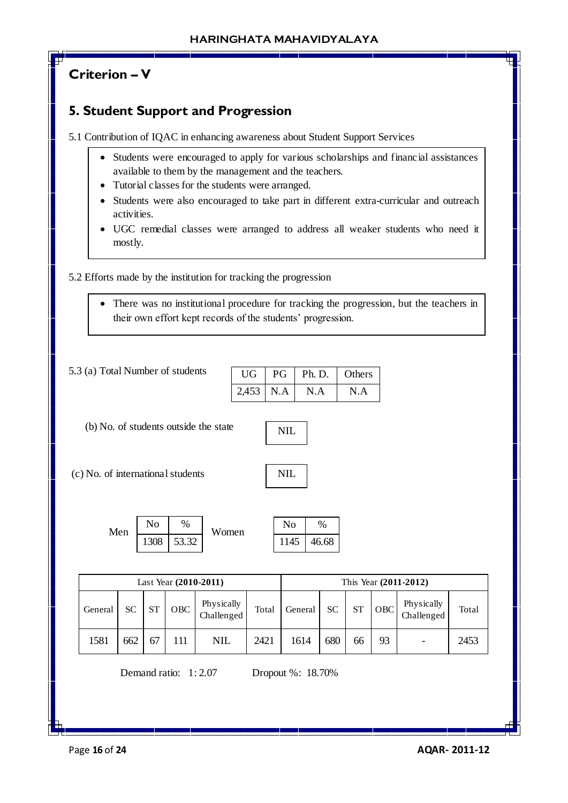# **Criterion – V**

# **5. Student Support and Progression**

5.1 Contribution of IQAC in enhancing awareness about Student Support Services

- Students were encouraged to apply for various scholarships and financial assistances available to them by the management and the teachers.
- Tutorial classes for the students were arranged.
- Students were also encouraged to take part in different extra-curricular and outreach activities.
- UGC remedial classes were arranged to address all weaker students who need it mostly.

5.2 Efforts made by the institution for tracking the progression

 There was no institutional procedure for tracking the progression, but the teachers in their own effort kept records of the students' progression.

| $\overline{U}$ | PG | Ph. D. | Others |
|----------------|----|--------|--------|
| $2,453$ N.A    |    | N.A    | N.A    |

(b) No. of students outside the state

(c) No. of international students

| Men | No   | %     | Women | No   | $\%$  |
|-----|------|-------|-------|------|-------|
|     | 1308 | 53.32 |       | 1145 | 46.68 |

| Last Year (2010-2011) |     |           |     |                          |       |         |           |           | This Year (2011-2012) |                          |       |
|-----------------------|-----|-----------|-----|--------------------------|-------|---------|-----------|-----------|-----------------------|--------------------------|-------|
| General               | SС  | <b>ST</b> | OBC | Physically<br>Challenged | Total | General | <b>SC</b> | <b>ST</b> | <b>OBC</b>            | Physically<br>Challenged | Total |
| 1581                  | 662 | 67        |     | <b>NIL</b>               | 2421  | 1614    | 680       | 66        | 93                    |                          | 2453  |

Demand ratio: 1: 2.07 Dropout %: 18.70%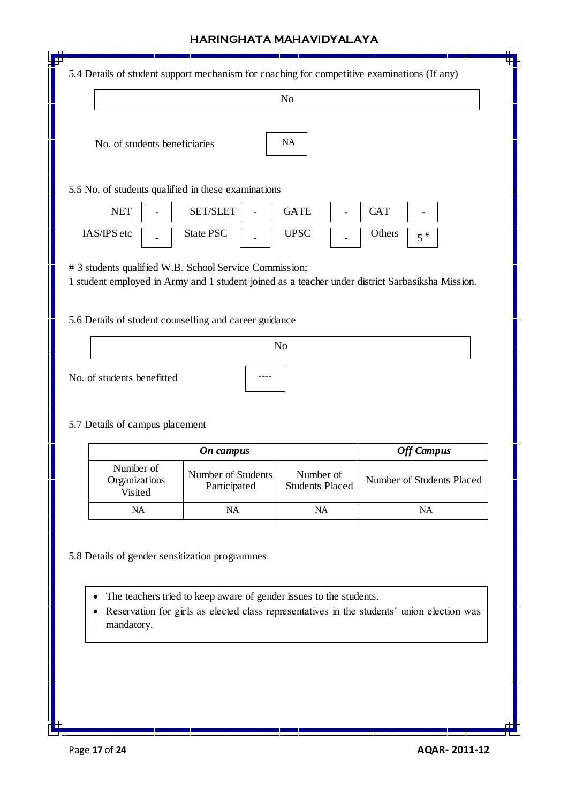| No. of students beneficiaries                          |                                                        | N <sub>o</sub>                      |                                                                                                  |
|--------------------------------------------------------|--------------------------------------------------------|-------------------------------------|--------------------------------------------------------------------------------------------------|
|                                                        |                                                        | NA                                  |                                                                                                  |
|                                                        | 5.5 No. of students qualified in these examinations    |                                     |                                                                                                  |
| <b>NET</b><br>IAS/IPS etc                              | <b>SET/SLET</b><br><b>State PSC</b>                    | <b>GATE</b><br><b>UPSC</b>          | <b>CAT</b><br>Others<br>$5^{\#}$                                                                 |
|                                                        | # 3 students qualified W.B. School Service Commission; |                                     | 1 student employed in Army and 1 student joined as a teacher under district Sarbasiksha Mission. |
| 5.6 Details of student counselling and career guidance |                                                        |                                     |                                                                                                  |
|                                                        |                                                        | N <sub>o</sub>                      |                                                                                                  |
| No. of students benefitted                             |                                                        |                                     |                                                                                                  |
| 5.7 Details of campus placement                        |                                                        |                                     |                                                                                                  |
|                                                        | <b>On</b> campus                                       |                                     | <b>Off Campus</b>                                                                                |
| Number of<br>Organizations<br>Visited                  | Number of Students<br>Participated                     | Number of<br><b>Students Placed</b> | Number of Students Placed                                                                        |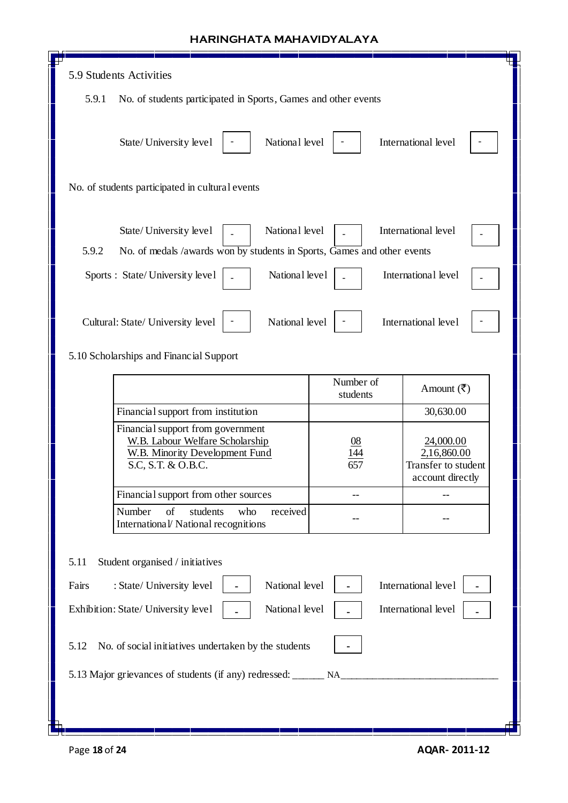| 5.9 Students Activities                                                           |                                                                                      |           |                                    |  |  |  |
|-----------------------------------------------------------------------------------|--------------------------------------------------------------------------------------|-----------|------------------------------------|--|--|--|
| 5.9.1                                                                             | No. of students participated in Sports, Games and other events                       |           |                                    |  |  |  |
|                                                                                   |                                                                                      |           |                                    |  |  |  |
|                                                                                   | National level<br>State/University level                                             |           | International level                |  |  |  |
|                                                                                   |                                                                                      |           |                                    |  |  |  |
| No. of students participated in cultural events                                   |                                                                                      |           |                                    |  |  |  |
|                                                                                   |                                                                                      |           |                                    |  |  |  |
|                                                                                   |                                                                                      |           |                                    |  |  |  |
|                                                                                   | State/University level<br>National level                                             |           | International level                |  |  |  |
| 5.9.2<br>No. of medals /awards won by students in Sports, Games and other events  |                                                                                      |           |                                    |  |  |  |
|                                                                                   | National level<br>Sports : State/University level                                    |           | International level                |  |  |  |
|                                                                                   |                                                                                      |           |                                    |  |  |  |
|                                                                                   | National level<br>Cultural: State/ University level                                  |           | International level                |  |  |  |
|                                                                                   |                                                                                      |           |                                    |  |  |  |
|                                                                                   | 5.10 Scholarships and Financial Support                                              |           |                                    |  |  |  |
|                                                                                   |                                                                                      | Number of | Amount $(\overline{\mathbf{z}})$   |  |  |  |
|                                                                                   |                                                                                      | students  |                                    |  |  |  |
|                                                                                   | Financial support from institution<br>30,630.00<br>Financial support from government |           |                                    |  |  |  |
|                                                                                   | <b>W.B. Labour Welfare Scholarship</b>                                               |           | 24,000.00                          |  |  |  |
|                                                                                   | <b>W.B. Minority Development Fund</b><br>S.C, S.T. & O.B.C.                          |           | 2,16,860.00<br>Transfer to student |  |  |  |
|                                                                                   |                                                                                      |           | account directly                   |  |  |  |
|                                                                                   | Financial support from other sources                                                 |           |                                    |  |  |  |
|                                                                                   | Number<br>of<br>students<br>who<br>received<br>International/ National recognitions  |           |                                    |  |  |  |
|                                                                                   |                                                                                      |           |                                    |  |  |  |
| Student organised / initiatives<br>5.11                                           |                                                                                      |           |                                    |  |  |  |
| Fairs                                                                             | National level<br>International level<br>: State/ University level                   |           |                                    |  |  |  |
| International level<br>National level<br>Exhibition: State/ University level      |                                                                                      |           |                                    |  |  |  |
| 5.12<br>No. of social initiatives undertaken by the students                      |                                                                                      |           |                                    |  |  |  |
| 5.13 Major grievances of students (if any) redressed: _______ NA_________________ |                                                                                      |           |                                    |  |  |  |
|                                                                                   |                                                                                      |           |                                    |  |  |  |
|                                                                                   |                                                                                      |           |                                    |  |  |  |
|                                                                                   |                                                                                      |           |                                    |  |  |  |

 $\mathsf I$ 

 $\mathsf{I}$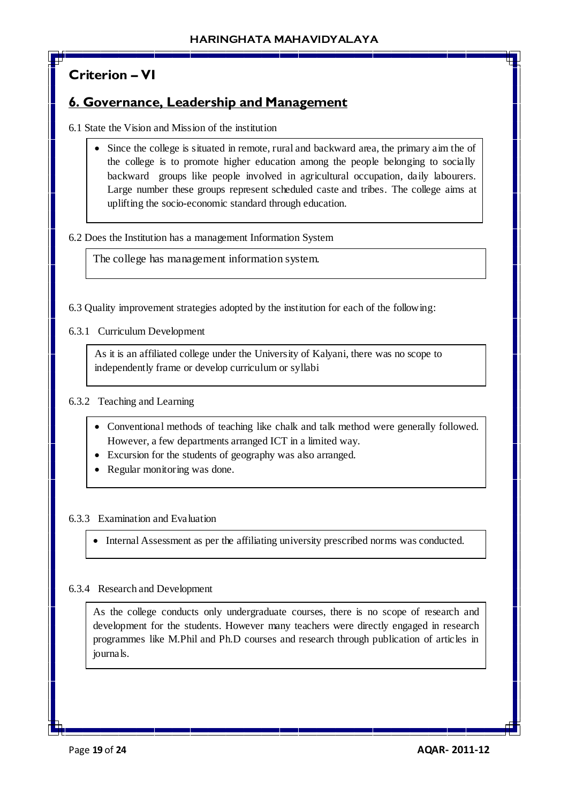# **Criterion – VI**

## **6. Governance, Leadership and Management**

- 6.1 State the Vision and Mission of the institution
	- Since the college is situated in remote, rural and backward area, the primary aim the of the college is to promote higher education among the people belonging to socially backward groups like people involved in agricultural occupation, daily labourers. Large number these groups represent scheduled caste and tribes. The college aims at uplifting the socio-economic standard through education.

#### 6.2 Does the Institution has a management Information System

The college has management information system.

6.3 Quality improvement strategies adopted by the institution for each of the following:

6.3.1 Curriculum Development

As it is an affiliated college under the University of Kalyani, there was no scope to independently frame or develop curriculum or syllabi

## 6.3.2 Teaching and Learning

- Conventional methods of teaching like chalk and talk method were generally followed. However, a few departments arranged ICT in a limited way.
- Excursion for the students of geography was also arranged.
- Regular monitoring was done.

#### 6.3.3 Examination and Evaluation

Internal Assessment as per the affiliating university prescribed norms was conducted.

#### 6.3.4 Research and Development

As the college conducts only undergraduate courses, there is no scope of research and development for the students. However many teachers were directly engaged in research programmes like M.Phil and Ph.D courses and research through publication of articles in journals.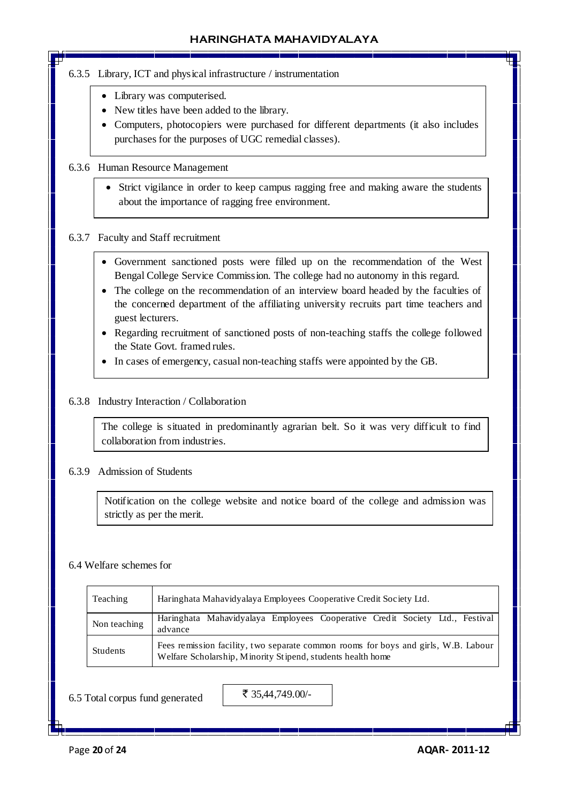- 6.3.5 Library, ICT and physical infrastructure / instrumentation
	- Library was computerised.
	- New titles have been added to the library.
	- Computers, photocopiers were purchased for different departments (it also includes purchases for the purposes of UGC remedial classes).

## 6.3.6 Human Resource Management

• Strict vigilance in order to keep campus ragging free and making aware the students about the importance of ragging free environment.

#### 6.3.7 Faculty and Staff recruitment

- Government sanctioned posts were filled up on the recommendation of the West Bengal College Service Commission. The college had no autonomy in this regard.
- The college on the recommendation of an interview board headed by the faculties of the concerned department of the affiliating university recruits part time teachers and guest lecturers.
- Regarding recruitment of sanctioned posts of non-teaching staffs the college followed the State Govt. framed rules.
- In cases of emergency, casual non-teaching staffs were appointed by the GB.

#### 6.3.8 Industry Interaction / Collaboration

The college is situated in predominantly agrarian belt. So it was very difficult to find collaboration from industries.

#### 6.3.9 Admission of Students

Notification on the college website and notice board of the college and admission was strictly as per the merit.

#### 6.4 Welfare schemes for

| Teaching     | Haringhata Mahavidyalaya Employees Cooperative Credit Society Ltd.                                                                                |  |  |  |  |  |
|--------------|---------------------------------------------------------------------------------------------------------------------------------------------------|--|--|--|--|--|
| Non teaching | Haringhata Mahavidyalaya Employees Cooperative Credit Society Ltd., Festival<br>advance                                                           |  |  |  |  |  |
| Students     | Fees remission facility, two separate common rooms for boys and girls, W.B. Labour<br>Welfare Scholarship, Minority Stipend, students health home |  |  |  |  |  |

6.5 Total corpus fund generated

₹ 35,44,749.00/-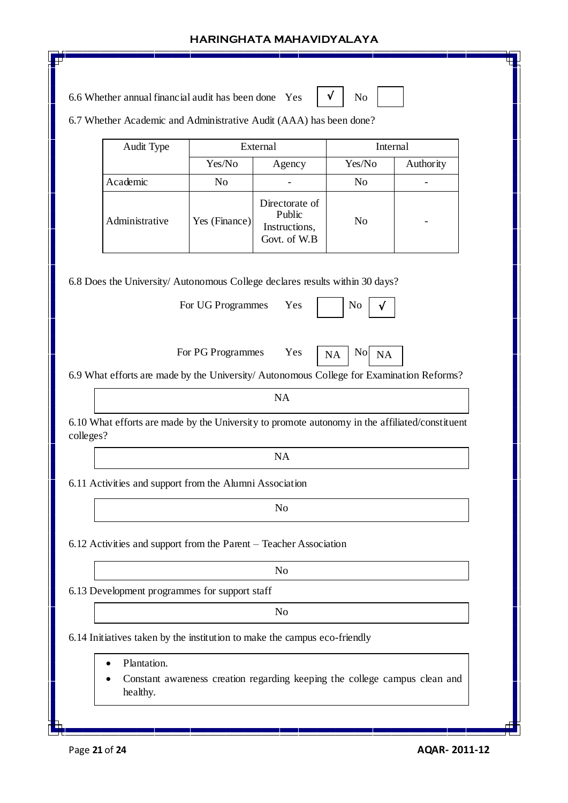| 6.6 Whether annual financial audit has been done Yes                                                                                                                                                                                                                                                                                    |                   |                                                           |                                          |           |
|-----------------------------------------------------------------------------------------------------------------------------------------------------------------------------------------------------------------------------------------------------------------------------------------------------------------------------------------|-------------------|-----------------------------------------------------------|------------------------------------------|-----------|
| 6.7 Whether Academic and Administrative Audit (AAA) has been done?                                                                                                                                                                                                                                                                      |                   |                                                           |                                          |           |
| Audit Type                                                                                                                                                                                                                                                                                                                              |                   | External                                                  | Internal                                 |           |
|                                                                                                                                                                                                                                                                                                                                         | Yes/No<br>Agency  |                                                           | Yes/No                                   | Authority |
| Academic                                                                                                                                                                                                                                                                                                                                | N <sub>o</sub>    |                                                           |                                          |           |
| Administrative                                                                                                                                                                                                                                                                                                                          | Yes (Finance)     | Directorate of<br>Public<br>Instructions,<br>Govt. of W.B | N <sub>o</sub>                           |           |
| 6.8 Does the University/ Autonomous College declares results within 30 days?                                                                                                                                                                                                                                                            | For UG Programmes | Yes                                                       | N <sub>0</sub>                           |           |
|                                                                                                                                                                                                                                                                                                                                         | For PG Programmes | Yes                                                       | N <sub>o</sub><br><b>NA</b><br><b>NA</b> |           |
|                                                                                                                                                                                                                                                                                                                                         |                   | <b>NA</b>                                                 |                                          |           |
|                                                                                                                                                                                                                                                                                                                                         |                   | <b>NA</b>                                                 |                                          |           |
|                                                                                                                                                                                                                                                                                                                                         |                   |                                                           |                                          |           |
|                                                                                                                                                                                                                                                                                                                                         |                   |                                                           |                                          |           |
|                                                                                                                                                                                                                                                                                                                                         |                   | N <sub>o</sub>                                            |                                          |           |
| 6.9 What efforts are made by the University/ Autonomous College for Examination Reforms?<br>6.10 What efforts are made by the University to promote autonomy in the affiliated/constituent<br>colleges?<br>6.11 Activities and support from the Alumni Association<br>6.12 Activities and support from the Parent - Teacher Association |                   |                                                           |                                          |           |
|                                                                                                                                                                                                                                                                                                                                         |                   | N <sub>o</sub>                                            |                                          |           |
| 6.13 Development programmes for support staff                                                                                                                                                                                                                                                                                           |                   |                                                           |                                          |           |
|                                                                                                                                                                                                                                                                                                                                         |                   | N <sub>0</sub>                                            |                                          |           |
| 6.14 Initiatives taken by the institution to make the campus eco-friendly                                                                                                                                                                                                                                                               |                   |                                                           |                                          |           |
| Plantation.                                                                                                                                                                                                                                                                                                                             |                   |                                                           |                                          |           |

Īī

╓┾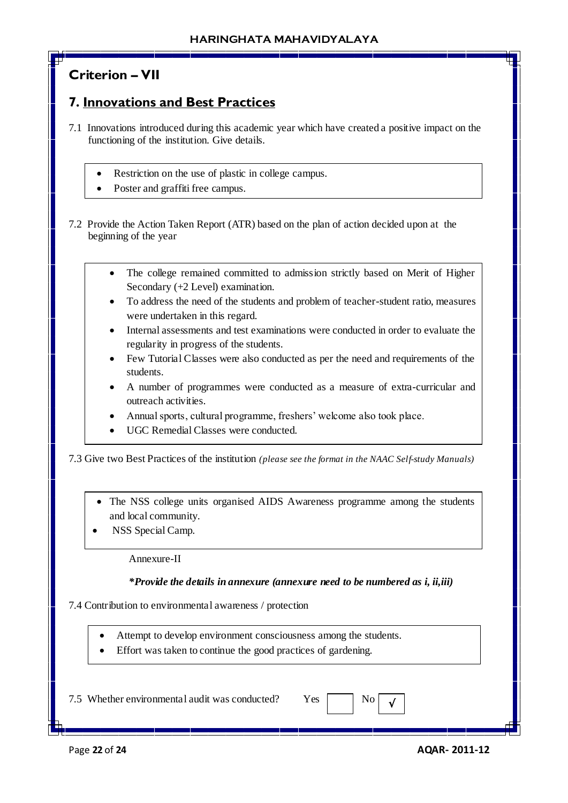# **Criterion – VII**

# **7. Innovations and Best Practices**

- 7.1 Innovations introduced during this academic year which have created a positive impact on the functioning of the institution. Give details.
	- Restriction on the use of plastic in college campus.
	- Poster and graffiti free campus.

7.2 Provide the Action Taken Report (ATR) based on the plan of action decided upon at the beginning of the year

- The college remained committed to admission strictly based on Merit of Higher Secondary (+2 Level) examination.
- To address the need of the students and problem of teacher-student ratio, measures were undertaken in this regard.
- Internal assessments and test examinations were conducted in order to evaluate the regularity in progress of the students.
- Few Tutorial Classes were also conducted as per the need and requirements of the students.
- A number of programmes were conducted as a measure of extra-curricular and outreach activities.
- Annual sports, cultural programme, freshers' welcome also took place.
- UGC Remedial Classes were conducted.

7.3 Give two Best Practices of the institution *(please see the format in the NAAC Self-study Manuals)*

- The NSS college units organised AIDS Awareness programme among the students and local community.
- NSS Special Camp.

Annexure-II

#### *\*Provide the details in annexure (annexure need to be numbered as i, ii,iii)*

7.4 Contribution to environmental awareness / protection

- Attempt to develop environment consciousness among the students.
- Effort was taken to continue the good practices of gardening.

7.5 Whether environmental audit was conducted? Yes  $\Box$  No

√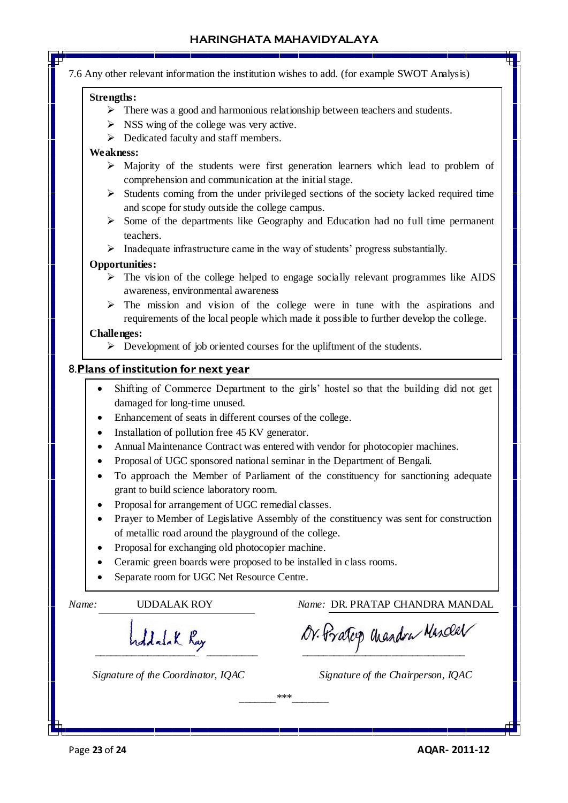7.6 Any other relevant information the institution wishes to add. (for example SWOT Analysis)

#### **Strengths:**

- $\triangleright$  There was a good and harmonious relationship between teachers and students.
- $\triangleright$  NSS wing of the college was very active.
- $\triangleright$  Dedicated faculty and staff members.

#### **Weakness:**

- $\triangleright$  Majority of the students were first generation learners which lead to problem of comprehension and communication at the initial stage.
- $\triangleright$  Students coming from the under privileged sections of the society lacked required time and scope for study outside the college campus.
- $\triangleright$  Some of the departments like Geography and Education had no full time permanent teachers.

 $\triangleright$  Inadequate infrastructure came in the way of students' progress substantially.

#### **Opportunities:**

- $\triangleright$  The vision of the college helped to engage socially relevant programmes like AIDS awareness, environmental awareness
- $\triangleright$  The mission and vision of the college were in tune with the aspirations and requirements of the local people which made it possible to further develop the college.

#### **Challenges:**

 $\triangleright$  Development of job oriented courses for the upliftment of the students.

#### 8.**Plans of institution for next year**

- Shifting of Commerce Department to the girls' hostel so that the building did not get damaged for long-time unused.
- Enhancement of seats in different courses of the college.
- Installation of pollution free 45 KV generator.
- Annual Maintenance Contract was entered with vendor for photocopier machines.
- Proposal of UGC sponsored national seminar in the Department of Bengali.
- To approach the Member of Parliament of the constituency for sanctioning adequate grant to build science laboratory room.
- Proposal for arrangement of UGC remedial classes.
- Prayer to Member of Legislative Assembly of the constituency was sent for construction of metallic road around the playground of the college.
- Proposal for exchanging old photocopier machine.
- Ceramic green boards were proposed to be installed in class rooms.
- Separate room for UGC Net Resource Centre.

*Name:* UDDALAK ROY *Name:* DR. PRATAP CHANDRA MANDAL

 *\_\_\_\_\_\_\_\_\_\_\_\_\_\_\_\_\_\_\_\_\_\_\_\_\_\_\_\_\_\_\_ \_\_\_\_\_\_\_\_\_\_\_\_\_\_\_\_\_\_\_\_\_\_\_\_\_\_\_\_\_\_\_* 

 *Signature of the Coordinator, IQAC Signature of the Chairperson, IQAC*

*\_\_\_\_\_\_\_\*\*\*\_\_\_\_\_\_\_*

Page **23** of **24 AQAR- 2011-12**